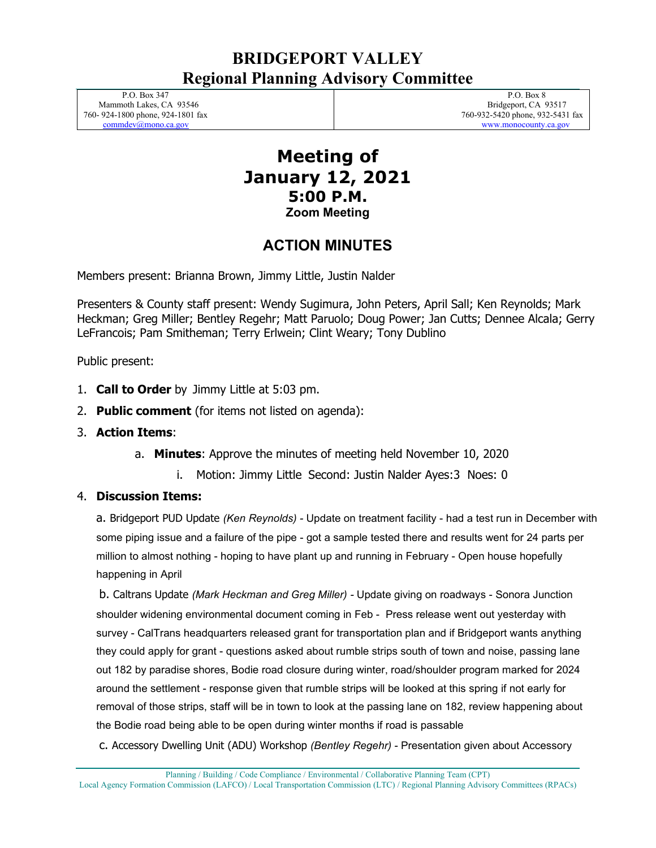# **BRIDGEPORT VALLEY Regional Planning Advisory Committee**

 P.O. Box 347 Mammoth Lakes, CA 93546 760- 924-1800 phone, 924-1801 fax [commdev@mono.ca.gov](mailto:commdev@mono.ca.gov)

 P.O. Box 8 Bridgeport, CA 93517 760-932-5420 phone, 932-5431 fax www.monocounty.ca.gov

## **Meeting of January 12, 2021 5:00 P.M. Zoom Meeting**

# **ACTION MINUTES**

Members present: Brianna Brown, Jimmy Little, Justin Nalder

Presenters & County staff present: Wendy Sugimura, John Peters, April Sall; Ken Reynolds; Mark Heckman; Greg Miller; Bentley Regehr; Matt Paruolo; Doug Power; Jan Cutts; Dennee Alcala; Gerry LeFrancois; Pam Smitheman; Terry Erlwein; Clint Weary; Tony Dublino

Public present:

- 1. **Call to Order** by Jimmy Little at 5:03 pm.
- 2. **Public comment** (for items not listed on agenda):
- 3. **Action Items**:
	- a. **Minutes**: Approve the minutes of meeting held November 10, 2020
		- i. Motion: Jimmy Little Second: Justin Nalder Ayes:3 Noes: 0

### 4. **Discussion Items:**

a. Bridgeport PUD Update *(Ken Reynolds) -* Update on treatment facility - had a test run in December with some piping issue and a failure of the pipe - got a sample tested there and results went for 24 parts per million to almost nothing - hoping to have plant up and running in February - Open house hopefully happening in April

b. Caltrans Update *(Mark Heckman and Greg Miller) -* Update giving on roadways - Sonora Junction shoulder widening environmental document coming in Feb - Press release went out yesterday with survey - CalTrans headquarters released grant for transportation plan and if Bridgeport wants anything they could apply for grant - questions asked about rumble strips south of town and noise, passing lane out 182 by paradise shores, Bodie road closure during winter, road/shoulder program marked for 2024 around the settlement - response given that rumble strips will be looked at this spring if not early for removal of those strips, staff will be in town to look at the passing lane on 182, review happening about the Bodie road being able to be open during winter months if road is passable

c. Accessory Dwelling Unit (ADU) Workshop *(Bentley Regehr)* - Presentation given about Accessory